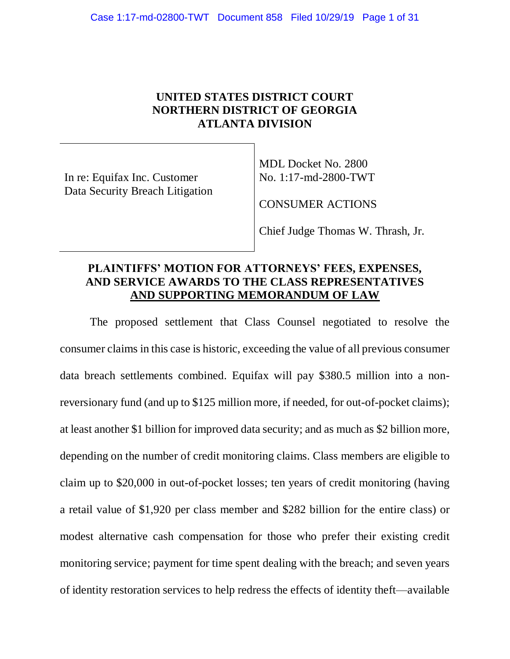# **UNITED STATES DISTRICT COURT NORTHERN DISTRICT OF GEORGIA ATLANTA DIVISION**

In re: Equifax Inc. Customer Data Security Breach Litigation MDL Docket No. 2800 No. 1:17-md-2800-TWT

CONSUMER ACTIONS

Chief Judge Thomas W. Thrash, Jr.

# **PLAINTIFFS' MOTION FOR ATTORNEYS' FEES, EXPENSES, AND SERVICE AWARDS TO THE CLASS REPRESENTATIVES AND SUPPORTING MEMORANDUM OF LAW**

The proposed settlement that Class Counsel negotiated to resolve the consumer claims in this case is historic, exceeding the value of all previous consumer data breach settlements combined. Equifax will pay \$380.5 million into a nonreversionary fund (and up to \$125 million more, if needed, for out-of-pocket claims); at least another \$1 billion for improved data security; and as much as \$2 billion more, depending on the number of credit monitoring claims. Class members are eligible to claim up to \$20,000 in out-of-pocket losses; ten years of credit monitoring (having a retail value of \$1,920 per class member and \$282 billion for the entire class) or modest alternative cash compensation for those who prefer their existing credit monitoring service; payment for time spent dealing with the breach; and seven years of identity restoration services to help redress the effects of identity theft—available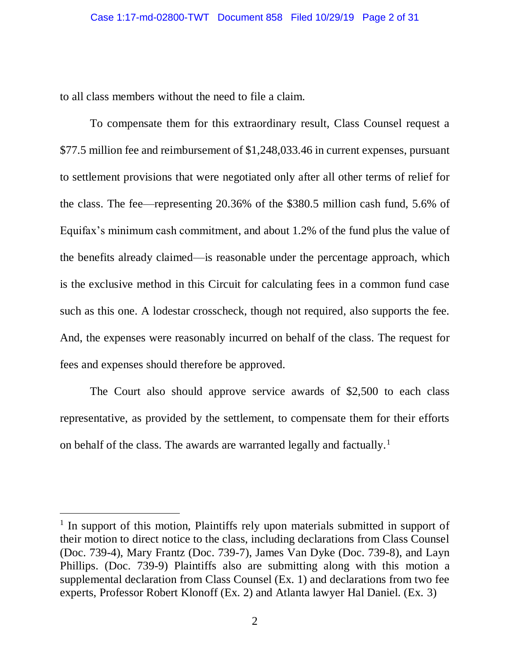to all class members without the need to file a claim.

To compensate them for this extraordinary result, Class Counsel request a \$77.5 million fee and reimbursement of \$1,248,033.46 in current expenses, pursuant to settlement provisions that were negotiated only after all other terms of relief for the class. The fee—representing 20.36% of the \$380.5 million cash fund, 5.6% of Equifax's minimum cash commitment, and about 1.2% of the fund plus the value of the benefits already claimed—is reasonable under the percentage approach, which is the exclusive method in this Circuit for calculating fees in a common fund case such as this one. A lodestar crosscheck, though not required, also supports the fee. And, the expenses were reasonably incurred on behalf of the class. The request for fees and expenses should therefore be approved.

The Court also should approve service awards of \$2,500 to each class representative, as provided by the settlement, to compensate them for their efforts on behalf of the class. The awards are warranted legally and factually.<sup>1</sup>

 $\overline{a}$ 

<sup>&</sup>lt;sup>1</sup> In support of this motion, Plaintiffs rely upon materials submitted in support of their motion to direct notice to the class, including declarations from Class Counsel (Doc. 739-4), Mary Frantz (Doc. 739-7), James Van Dyke (Doc. 739-8), and Layn Phillips. (Doc. 739-9) Plaintiffs also are submitting along with this motion a supplemental declaration from Class Counsel (Ex. 1) and declarations from two fee experts, Professor Robert Klonoff (Ex. 2) and Atlanta lawyer Hal Daniel. (Ex. 3)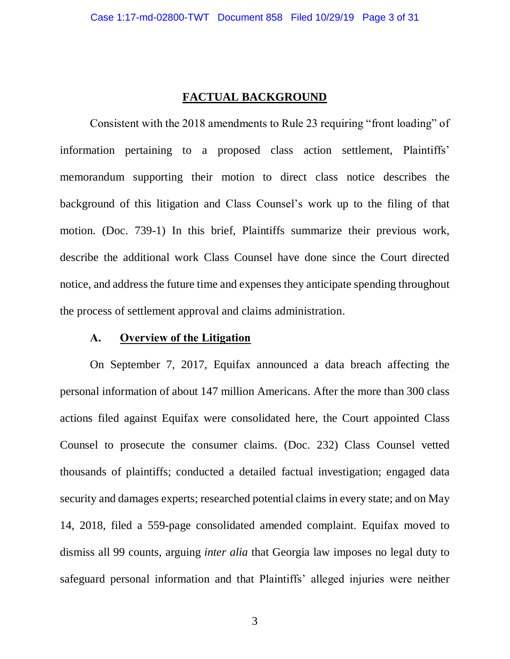### **FACTUAL BACKGROUND**

Consistent with the 2018 amendments to Rule 23 requiring "front loading" of information pertaining to a proposed class action settlement, Plaintiffs' memorandum supporting their motion to direct class notice describes the background of this litigation and Class Counsel's work up to the filing of that motion. (Doc. 739-1) In this brief, Plaintiffs summarize their previous work, describe the additional work Class Counsel have done since the Court directed notice, and address the future time and expenses they anticipate spending throughout the process of settlement approval and claims administration.

#### **A. Overview of the Litigation**

On September 7, 2017, Equifax announced a data breach affecting the personal information of about 147 million Americans. After the more than 300 class actions filed against Equifax were consolidated here, the Court appointed Class Counsel to prosecute the consumer claims. (Doc. 232) Class Counsel vetted thousands of plaintiffs; conducted a detailed factual investigation; engaged data security and damages experts; researched potential claims in every state; and on May 14, 2018, filed a 559-page consolidated amended complaint. Equifax moved to dismiss all 99 counts, arguing *inter alia* that Georgia law imposes no legal duty to safeguard personal information and that Plaintiffs' alleged injuries were neither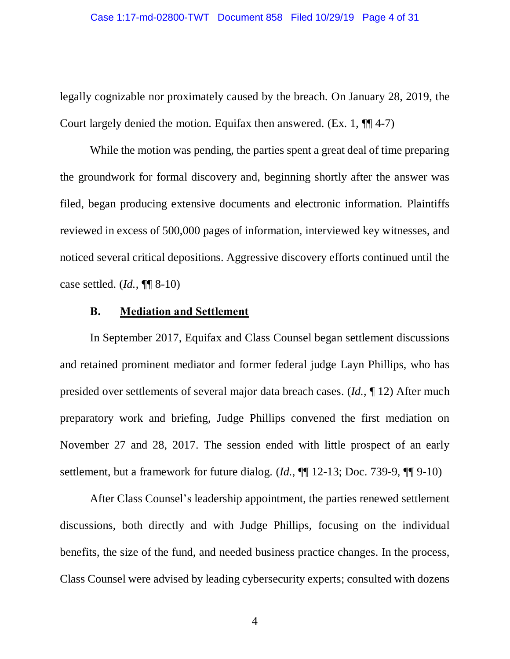legally cognizable nor proximately caused by the breach. On January 28, 2019, the Court largely denied the motion. Equifax then answered.  $(Ex. 1, \P\P 4-7)$ 

While the motion was pending, the parties spent a great deal of time preparing the groundwork for formal discovery and, beginning shortly after the answer was filed, began producing extensive documents and electronic information. Plaintiffs reviewed in excess of 500,000 pages of information, interviewed key witnesses, and noticed several critical depositions. Aggressive discovery efforts continued until the case settled. (*Id.*, ¶¶ 8-10)

#### **B. Mediation and Settlement**

In September 2017, Equifax and Class Counsel began settlement discussions and retained prominent mediator and former federal judge Layn Phillips, who has presided over settlements of several major data breach cases. (*Id.*, ¶ 12) After much preparatory work and briefing, Judge Phillips convened the first mediation on November 27 and 28, 2017. The session ended with little prospect of an early settlement, but a framework for future dialog. (*Id.*, ¶¶ 12-13; Doc. 739-9, ¶¶ 9-10)

After Class Counsel's leadership appointment, the parties renewed settlement discussions, both directly and with Judge Phillips, focusing on the individual benefits, the size of the fund, and needed business practice changes. In the process, Class Counsel were advised by leading cybersecurity experts; consulted with dozens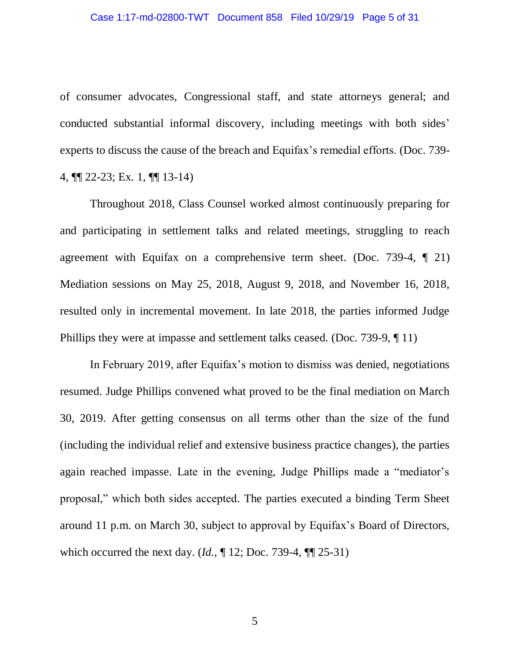of consumer advocates, Congressional staff, and state attorneys general; and conducted substantial informal discovery, including meetings with both sides' experts to discuss the cause of the breach and Equifax's remedial efforts. (Doc. 739- 4, ¶¶ 22-23; Ex. 1, ¶¶ 13-14)

Throughout 2018, Class Counsel worked almost continuously preparing for and participating in settlement talks and related meetings, struggling to reach agreement with Equifax on a comprehensive term sheet. (Doc. 739-4, ¶ 21) Mediation sessions on May 25, 2018, August 9, 2018, and November 16, 2018, resulted only in incremental movement. In late 2018, the parties informed Judge Phillips they were at impasse and settlement talks ceased. (Doc. 739-9, ¶ 11)

In February 2019, after Equifax's motion to dismiss was denied, negotiations resumed. Judge Phillips convened what proved to be the final mediation on March 30, 2019. After getting consensus on all terms other than the size of the fund (including the individual relief and extensive business practice changes), the parties again reached impasse. Late in the evening, Judge Phillips made a "mediator's proposal," which both sides accepted. The parties executed a binding Term Sheet around 11 p.m. on March 30, subject to approval by Equifax's Board of Directors, which occurred the next day. (*Id.*, ¶ 12; Doc. 739-4, ¶¶ 25-31)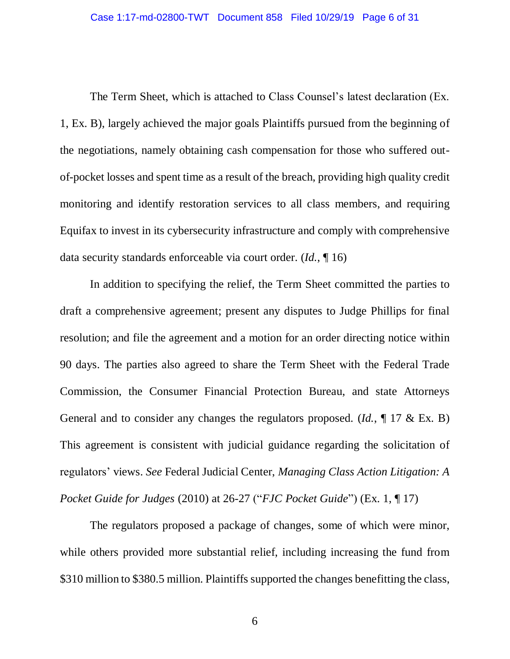The Term Sheet, which is attached to Class Counsel's latest declaration (Ex. 1, Ex. B), largely achieved the major goals Plaintiffs pursued from the beginning of the negotiations, namely obtaining cash compensation for those who suffered outof-pocket losses and spent time as a result of the breach, providing high quality credit monitoring and identify restoration services to all class members, and requiring Equifax to invest in its cybersecurity infrastructure and comply with comprehensive data security standards enforceable via court order. (*Id.*, ¶ 16)

In addition to specifying the relief, the Term Sheet committed the parties to draft a comprehensive agreement; present any disputes to Judge Phillips for final resolution; and file the agreement and a motion for an order directing notice within 90 days. The parties also agreed to share the Term Sheet with the Federal Trade Commission, the Consumer Financial Protection Bureau, and state Attorneys General and to consider any changes the regulators proposed. (*Id.*, ¶ 17 & Ex. B) This agreement is consistent with judicial guidance regarding the solicitation of regulators' views. *See* Federal Judicial Center, *Managing Class Action Litigation: A Pocket Guide for Judges* (2010) at 26-27 ("*FJC Pocket Guide*") (Ex. 1, ¶ 17)

The regulators proposed a package of changes, some of which were minor, while others provided more substantial relief, including increasing the fund from \$310 million to \$380.5 million. Plaintiffs supported the changes benefitting the class,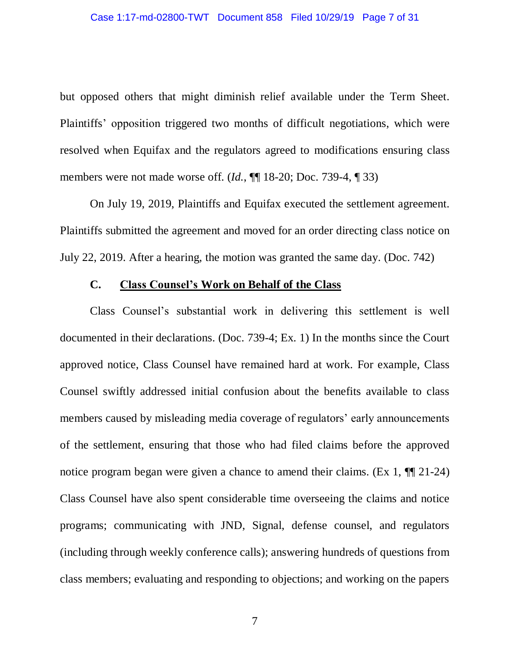but opposed others that might diminish relief available under the Term Sheet. Plaintiffs' opposition triggered two months of difficult negotiations, which were resolved when Equifax and the regulators agreed to modifications ensuring class members were not made worse off. (*Id.*, ¶¶ 18-20; Doc. 739-4, ¶ 33)

On July 19, 2019, Plaintiffs and Equifax executed the settlement agreement. Plaintiffs submitted the agreement and moved for an order directing class notice on July 22, 2019. After a hearing, the motion was granted the same day. (Doc. 742)

#### **C. Class Counsel's Work on Behalf of the Class**

Class Counsel's substantial work in delivering this settlement is well documented in their declarations. (Doc. 739-4; Ex. 1) In the months since the Court approved notice, Class Counsel have remained hard at work. For example, Class Counsel swiftly addressed initial confusion about the benefits available to class members caused by misleading media coverage of regulators' early announcements of the settlement, ensuring that those who had filed claims before the approved notice program began were given a chance to amend their claims. (Ex 1, ¶¶ 21-24) Class Counsel have also spent considerable time overseeing the claims and notice programs; communicating with JND, Signal, defense counsel, and regulators (including through weekly conference calls); answering hundreds of questions from class members; evaluating and responding to objections; and working on the papers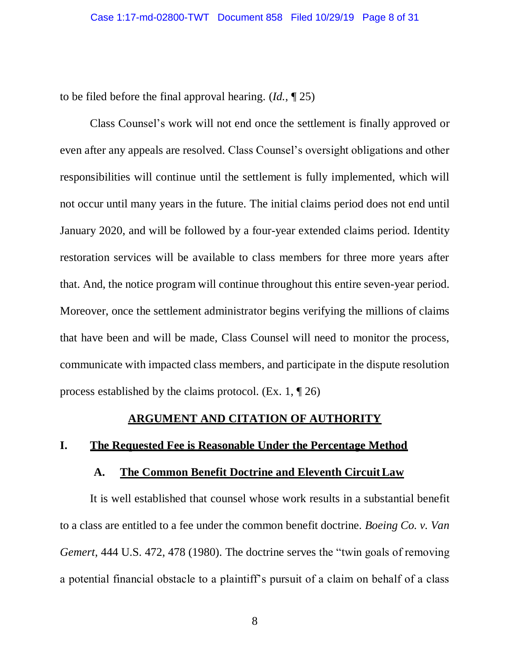to be filed before the final approval hearing. (*Id.*, ¶ 25)

Class Counsel's work will not end once the settlement is finally approved or even after any appeals are resolved. Class Counsel's oversight obligations and other responsibilities will continue until the settlement is fully implemented, which will not occur until many years in the future. The initial claims period does not end until January 2020, and will be followed by a four-year extended claims period. Identity restoration services will be available to class members for three more years after that. And, the notice program will continue throughout this entire seven-year period. Moreover, once the settlement administrator begins verifying the millions of claims that have been and will be made, Class Counsel will need to monitor the process, communicate with impacted class members, and participate in the dispute resolution process established by the claims protocol. (Ex. 1, ¶ 26)

#### **ARGUMENT AND CITATION OF AUTHORITY**

## **I. The Requested Fee is Reasonable Under the Percentage Method**

#### **A. The Common Benefit Doctrine and Eleventh CircuitLaw**

It is well established that counsel whose work results in a substantial benefit to a class are entitled to a fee under the common benefit doctrine. *Boeing Co. v. Van Gemert*, 444 U.S. 472, 478 (1980). The doctrine serves the "twin goals of removing a potential financial obstacle to a plaintiff's pursuit of a claim on behalf of a class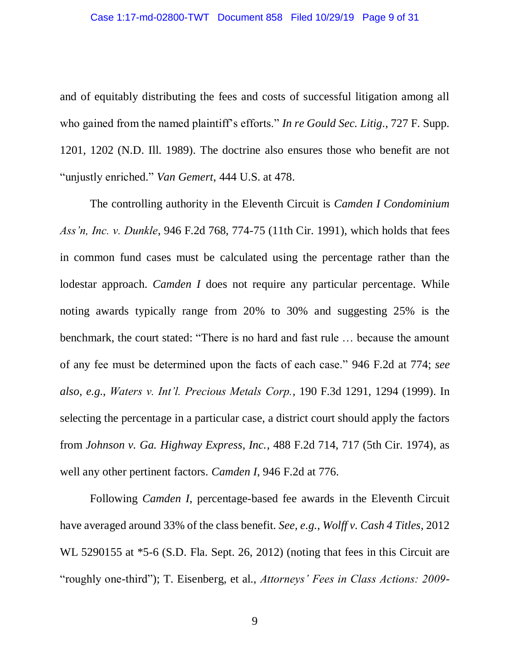and of equitably distributing the fees and costs of successful litigation among all who gained from the named plaintiff's efforts." *In re Gould Sec. Litig*., 727 F. Supp. 1201, 1202 (N.D. Ill. 1989). The doctrine also ensures those who benefit are not "unjustly enriched." *Van Gemert*, 444 U.S. at 478.

The controlling authority in the Eleventh Circuit is *Camden I Condominium Ass'n, Inc. v. Dunkle*, 946 F.2d 768, 774-75 (11th Cir. 1991), which holds that fees in common fund cases must be calculated using the percentage rather than the lodestar approach. *Camden I* does not require any particular percentage. While noting awards typically range from 20% to 30% and suggesting 25% is the benchmark, the court stated: "There is no hard and fast rule … because the amount of any fee must be determined upon the facts of each case." 946 F.2d at 774; *see also, e.g.*, *Waters v. Int'l. Precious Metals Corp.*, 190 F.3d 1291, 1294 (1999). In selecting the percentage in a particular case, a district court should apply the factors from *Johnson v. Ga. Highway Express, Inc.*, 488 F.2d 714, 717 (5th Cir. 1974), as well any other pertinent factors. *Camden I*, 946 F.2d at 776.

Following *Camden I*, percentage-based fee awards in the Eleventh Circuit have averaged around 33% of the class benefit. *See, e.g.*, *Wolff v. Cash 4 Titles*, 2012 WL 5290155 at  $*5-6$  (S.D. Fla. Sept. 26, 2012) (noting that fees in this Circuit are "roughly one-third"); T. Eisenberg, et al., *Attorneys' Fees in Class Actions: 2009-*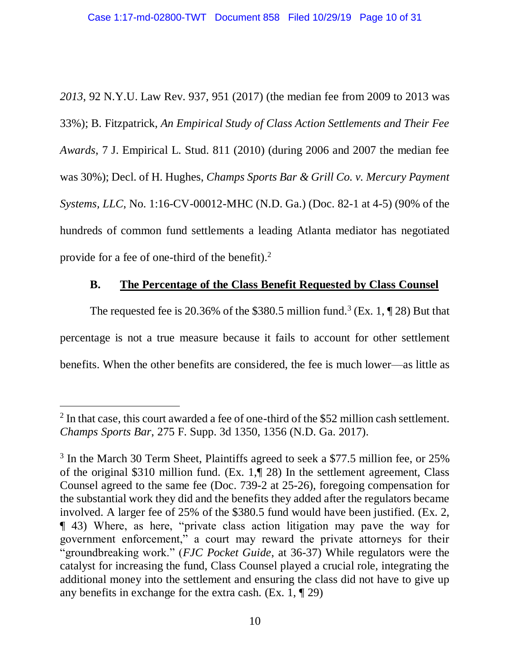*2013*, 92 N.Y.U. Law Rev. 937, 951 (2017) (the median fee from 2009 to 2013 was 33%); B. Fitzpatrick, *An Empirical Study of Class Action Settlements and Their Fee Awards*, 7 J. Empirical L. Stud. 811 (2010) (during 2006 and 2007 the median fee was 30%); Decl. of H. Hughes, *Champs Sports Bar & Grill Co. v. Mercury Payment Systems, LLC*, No. 1:16-CV-00012-MHC (N.D. Ga.) (Doc. 82-1 at 4-5) (90% of the hundreds of common fund settlements a leading Atlanta mediator has negotiated provide for a fee of one-third of the benefit).<sup>2</sup>

# **B. The Percentage of the Class Benefit Requested by Class Counsel**

The requested fee is 20.36% of the \$380.5 million fund.<sup>3</sup> (Ex. 1,  $\P$  28) But that percentage is not a true measure because it fails to account for other settlement benefits. When the other benefits are considered, the fee is much lower—as little as

 $\overline{a}$ 

 $2$  In that case, this court awarded a fee of one-third of the \$52 million cash settlement. *Champs Sports Bar*, 275 F. Supp. 3d 1350, 1356 (N.D. Ga. 2017).

<sup>&</sup>lt;sup>3</sup> In the March 30 Term Sheet, Plaintiffs agreed to seek a \$77.5 million fee, or 25% of the original \$310 million fund. (Ex. 1,¶ 28) In the settlement agreement, Class Counsel agreed to the same fee (Doc. 739-2 at 25-26), foregoing compensation for the substantial work they did and the benefits they added after the regulators became involved. A larger fee of 25% of the \$380.5 fund would have been justified. (Ex. 2, ¶ 43) Where, as here, "private class action litigation may pave the way for government enforcement," a court may reward the private attorneys for their "groundbreaking work." (*FJC Pocket Guide*, at 36-37) While regulators were the catalyst for increasing the fund, Class Counsel played a crucial role, integrating the additional money into the settlement and ensuring the class did not have to give up any benefits in exchange for the extra cash. (Ex. 1, ¶ 29)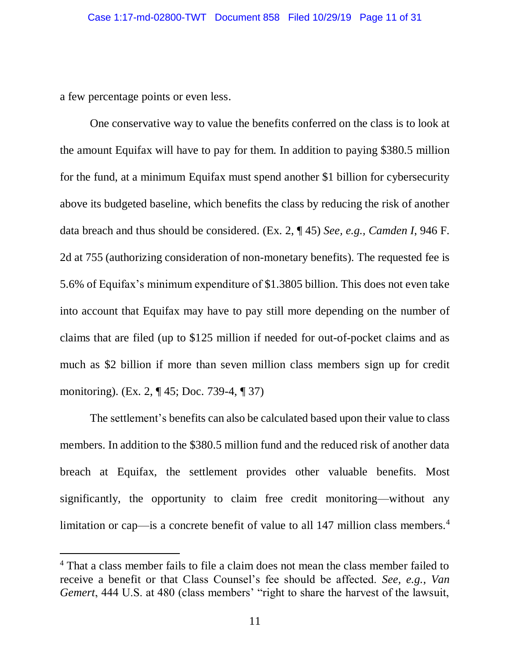a few percentage points or even less.

 $\overline{a}$ 

One conservative way to value the benefits conferred on the class is to look at the amount Equifax will have to pay for them. In addition to paying \$380.5 million for the fund, at a minimum Equifax must spend another \$1 billion for cybersecurity above its budgeted baseline, which benefits the class by reducing the risk of another data breach and thus should be considered. (Ex. 2, ¶ 45) *See, e.g., Camden I*, 946 F. 2d at 755 (authorizing consideration of non-monetary benefits). The requested fee is 5.6% of Equifax's minimum expenditure of \$1.3805 billion. This does not even take into account that Equifax may have to pay still more depending on the number of claims that are filed (up to \$125 million if needed for out-of-pocket claims and as much as \$2 billion if more than seven million class members sign up for credit monitoring). (Ex. 2, ¶ 45; Doc. 739-4, ¶ 37)

The settlement's benefits can also be calculated based upon their value to class members. In addition to the \$380.5 million fund and the reduced risk of another data breach at Equifax, the settlement provides other valuable benefits. Most significantly, the opportunity to claim free credit monitoring—without any limitation or cap—is a concrete benefit of value to all 147 million class members.<sup>4</sup>

<sup>&</sup>lt;sup>4</sup> That a class member fails to file a claim does not mean the class member failed to receive a benefit or that Class Counsel's fee should be affected. *See, e.g.*, *Van Gemert*, 444 U.S. at 480 (class members' "right to share the harvest of the lawsuit,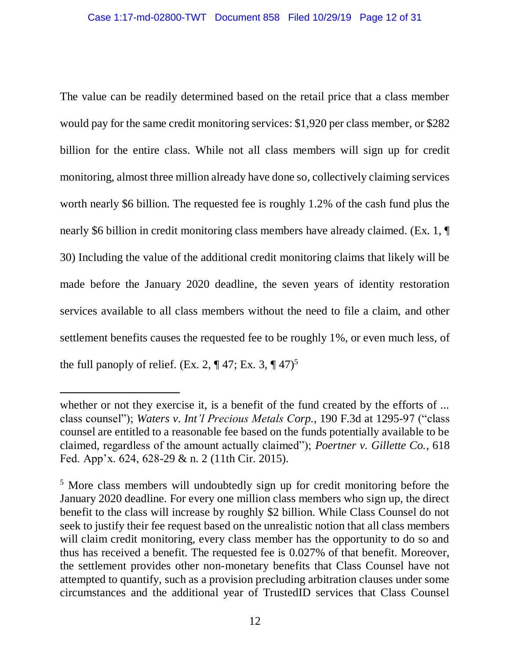The value can be readily determined based on the retail price that a class member would pay for the same credit monitoring services: \$1,920 per class member, or \$282 billion for the entire class. While not all class members will sign up for credit monitoring, almost three million already have done so, collectively claiming services worth nearly \$6 billion. The requested fee is roughly 1.2% of the cash fund plus the nearly \$6 billion in credit monitoring class members have already claimed. (Ex. 1,  $\P$ ) 30) Including the value of the additional credit monitoring claims that likely will be made before the January 2020 deadline, the seven years of identity restoration services available to all class members without the need to file a claim, and other settlement benefits causes the requested fee to be roughly 1%, or even much less, of the full panoply of relief. (Ex. 2,  $\P$  47; Ex. 3,  $\P$  47)<sup>5</sup>

 $\overline{a}$ 

whether or not they exercise it, is a benefit of the fund created by the efforts of ... class counsel"); *Waters v. Int'l Precious Metals Corp.*, 190 F.3d at 1295-97 ("class counsel are entitled to a reasonable fee based on the funds potentially available to be claimed, regardless of the amount actually claimed"); *Poertner v. Gillette Co.*, 618 Fed. App'x. 624, 628-29 & n. 2 (11th Cir. 2015).

<sup>5</sup> More class members will undoubtedly sign up for credit monitoring before the January 2020 deadline. For every one million class members who sign up, the direct benefit to the class will increase by roughly \$2 billion. While Class Counsel do not seek to justify their fee request based on the unrealistic notion that all class members will claim credit monitoring, every class member has the opportunity to do so and thus has received a benefit. The requested fee is 0.027% of that benefit. Moreover, the settlement provides other non-monetary benefits that Class Counsel have not attempted to quantify, such as a provision precluding arbitration clauses under some circumstances and the additional year of TrustedID services that Class Counsel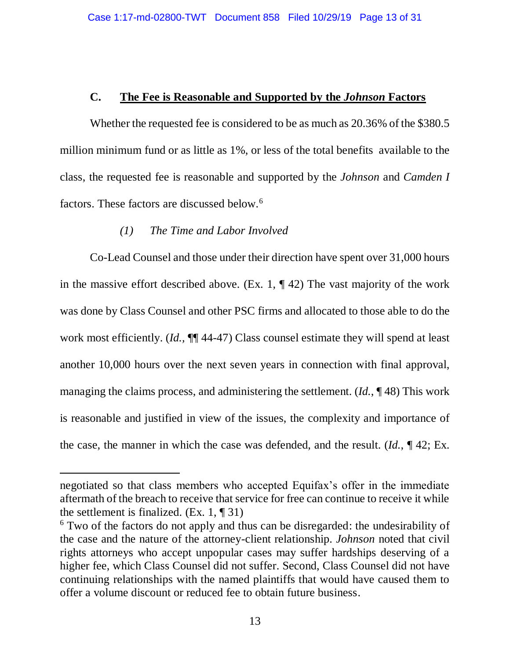# **C. The Fee is Reasonable and Supported by the** *Johnson* **Factors**

Whether the requested fee is considered to be as much as 20.36% of the \$380.5 million minimum fund or as little as 1%, or less of the total benefits available to the class, the requested fee is reasonable and supported by the *Johnson* and *Camden I*  factors. These factors are discussed below.<sup>6</sup>

# *(1) The Time and Labor Involved*

 $\overline{a}$ 

Co-Lead Counsel and those under their direction have spent over 31,000 hours in the massive effort described above. (Ex. 1,  $\P$  42) The vast majority of the work was done by Class Counsel and other PSC firms and allocated to those able to do the work most efficiently. (*Id.,* ¶¶ 44-47) Class counsel estimate they will spend at least another 10,000 hours over the next seven years in connection with final approval, managing the claims process, and administering the settlement. (*Id.*, ¶ 48) This work is reasonable and justified in view of the issues, the complexity and importance of the case, the manner in which the case was defended, and the result. (*Id.*, ¶ 42; Ex.

negotiated so that class members who accepted Equifax's offer in the immediate aftermath of the breach to receive that service for free can continue to receive it while the settlement is finalized.  $(Ex. 1, \P 31)$ 

<sup>&</sup>lt;sup>6</sup> Two of the factors do not apply and thus can be disregarded: the undesirability of the case and the nature of the attorney-client relationship. *Johnson* noted that civil rights attorneys who accept unpopular cases may suffer hardships deserving of a higher fee, which Class Counsel did not suffer. Second, Class Counsel did not have continuing relationships with the named plaintiffs that would have caused them to offer a volume discount or reduced fee to obtain future business.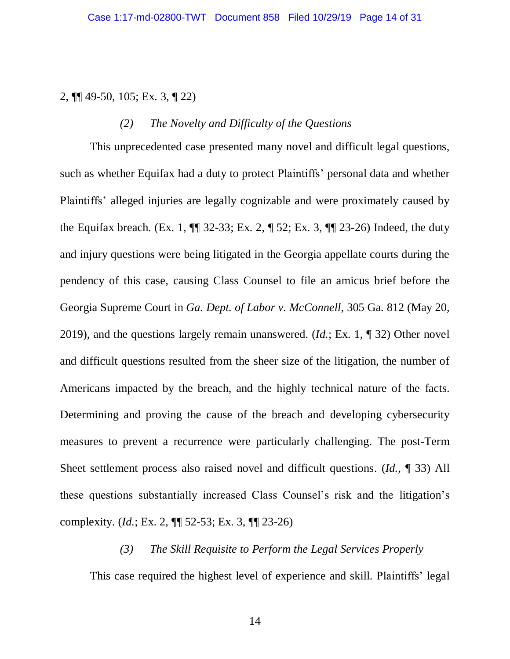2, ¶¶ 49-50, 105; Ex. 3, ¶ 22)

# *(2) The Novelty and Difficulty of the Questions*

This unprecedented case presented many novel and difficult legal questions, such as whether Equifax had a duty to protect Plaintiffs' personal data and whether Plaintiffs' alleged injuries are legally cognizable and were proximately caused by the Equifax breach. (Ex. 1, ¶¶ 32-33; Ex. 2, ¶ 52; Ex. 3, ¶¶ 23-26) Indeed, the duty and injury questions were being litigated in the Georgia appellate courts during the pendency of this case, causing Class Counsel to file an amicus brief before the Georgia Supreme Court in *Ga. Dept. of Labor v. McConnell*, 305 Ga. 812 (May 20, 2019), and the questions largely remain unanswered. (*Id.*; Ex. 1, ¶ 32) Other novel and difficult questions resulted from the sheer size of the litigation, the number of Americans impacted by the breach, and the highly technical nature of the facts. Determining and proving the cause of the breach and developing cybersecurity measures to prevent a recurrence were particularly challenging. The post-Term Sheet settlement process also raised novel and difficult questions. (*Id.*, ¶ 33) All these questions substantially increased Class Counsel's risk and the litigation's complexity. (*Id.*; Ex. 2, ¶¶ 52-53; Ex. 3, ¶¶ 23-26)

## *(3) The Skill Requisite to Perform the Legal Services Properly*

This case required the highest level of experience and skill. Plaintiffs' legal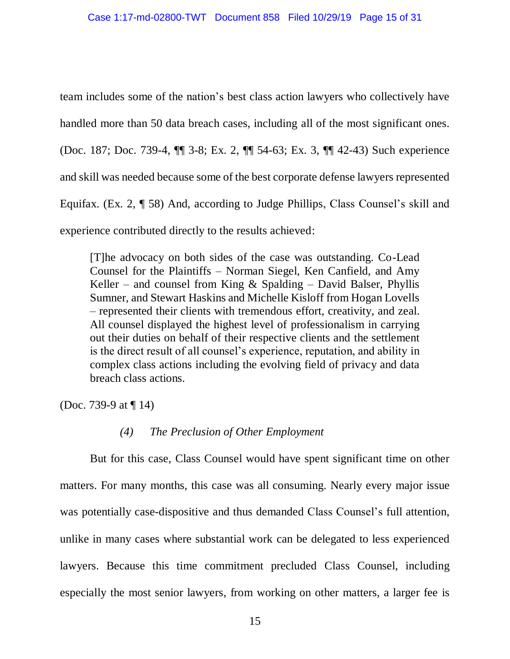team includes some of the nation's best class action lawyers who collectively have handled more than 50 data breach cases, including all of the most significant ones. (Doc. 187; Doc. 739-4, ¶¶ 3-8; Ex. 2, ¶¶ 54-63; Ex. 3, ¶¶ 42-43) Such experience and skill was needed because some of the best corporate defense lawyers represented Equifax. (Ex. 2, ¶ 58) And, according to Judge Phillips, Class Counsel's skill and experience contributed directly to the results achieved:

[T]he advocacy on both sides of the case was outstanding. Co-Lead Counsel for the Plaintiffs – Norman Siegel, Ken Canfield, and Amy Keller – and counsel from King  $&$  Spalding – David Balser, Phyllis Sumner, and Stewart Haskins and Michelle Kisloff from Hogan Lovells – represented their clients with tremendous effort, creativity, and zeal. All counsel displayed the highest level of professionalism in carrying out their duties on behalf of their respective clients and the settlement is the direct result of all counsel's experience, reputation, and ability in complex class actions including the evolving field of privacy and data breach class actions.

(Doc. 739-9 at ¶ 14)

# *(4) The Preclusion of Other Employment*

But for this case, Class Counsel would have spent significant time on other matters. For many months, this case was all consuming. Nearly every major issue was potentially case-dispositive and thus demanded Class Counsel's full attention, unlike in many cases where substantial work can be delegated to less experienced lawyers. Because this time commitment precluded Class Counsel, including especially the most senior lawyers, from working on other matters, a larger fee is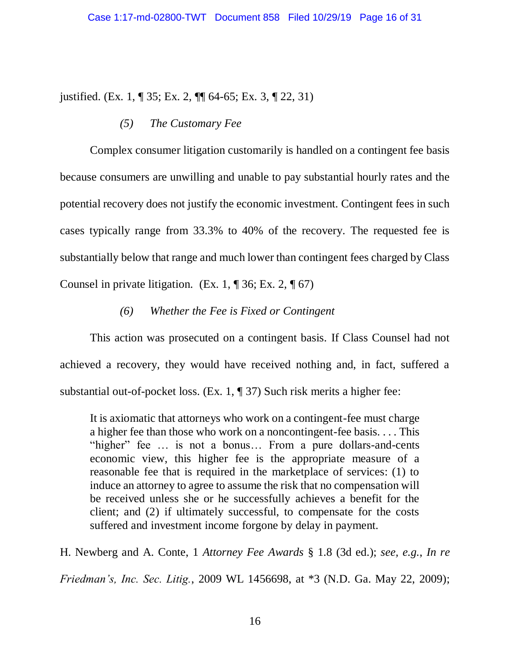justified. (Ex. 1, ¶ 35; Ex. 2, ¶¶ 64-65; Ex. 3, ¶ 22, 31)

# *(5) The Customary Fee*

Complex consumer litigation customarily is handled on a contingent fee basis because consumers are unwilling and unable to pay substantial hourly rates and the potential recovery does not justify the economic investment. Contingent fees in such cases typically range from 33.3% to 40% of the recovery. The requested fee is substantially below that range and much lower than contingent fees charged by Class Counsel in private litigation. (Ex. 1,  $\P$  36; Ex. 2,  $\P$  67)

# *(6) Whether the Fee is Fixed or Contingent*

This action was prosecuted on a contingent basis. If Class Counsel had not achieved a recovery, they would have received nothing and, in fact, suffered a substantial out-of-pocket loss. (Ex. 1, ¶ 37) Such risk merits a higher fee:

It is axiomatic that attorneys who work on a contingent-fee must charge a higher fee than those who work on a noncontingent-fee basis. . . . This "higher" fee ... is not a bonus... From a pure dollars-and-cents economic view, this higher fee is the appropriate measure of a reasonable fee that is required in the marketplace of services: (1) to induce an attorney to agree to assume the risk that no compensation will be received unless she or he successfully achieves a benefit for the client; and (2) if ultimately successful, to compensate for the costs suffered and investment income forgone by delay in payment.

H. Newberg and A. Conte, 1 *Attorney Fee Awards* § 1.8 (3d ed.); *see, e.g.*, *In re Friedman's, Inc. Sec. Litig.*, 2009 WL 1456698, at \*3 (N.D. Ga. May 22, 2009);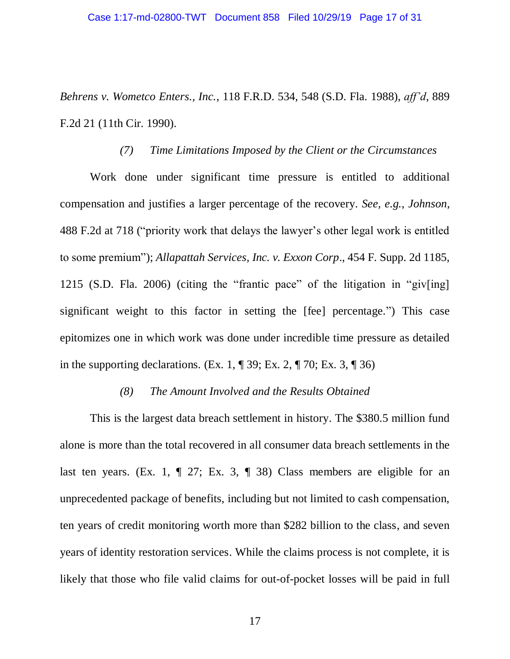*Behrens v. Wometco Enters., Inc.*, 118 F.R.D. 534, 548 (S.D. Fla. 1988), *aff'd*, 889 F.2d 21 (11th Cir. 1990).

#### *(7) Time Limitations Imposed by the Client or the Circumstances*

Work done under significant time pressure is entitled to additional compensation and justifies a larger percentage of the recovery. *See, e.g.*, *Johnson*, 488 F.2d at 718 ("priority work that delays the lawyer's other legal work is entitled to some premium"); *Allapattah Services, Inc. v. Exxon Corp*., 454 F. Supp. 2d 1185, 1215 (S.D. Fla. 2006) (citing the "frantic pace" of the litigation in "giv[ing] significant weight to this factor in setting the [fee] percentage.") This case epitomizes one in which work was done under incredible time pressure as detailed in the supporting declarations. (Ex. 1,  $\P$  39; Ex. 2,  $\P$  70; Ex. 3,  $\P$  36)

# *(8) The Amount Involved and the Results Obtained*

This is the largest data breach settlement in history. The \$380.5 million fund alone is more than the total recovered in all consumer data breach settlements in the last ten years. (Ex. 1,  $\P$  27; Ex. 3,  $\P$  38) Class members are eligible for an unprecedented package of benefits, including but not limited to cash compensation, ten years of credit monitoring worth more than \$282 billion to the class, and seven years of identity restoration services. While the claims process is not complete, it is likely that those who file valid claims for out-of-pocket losses will be paid in full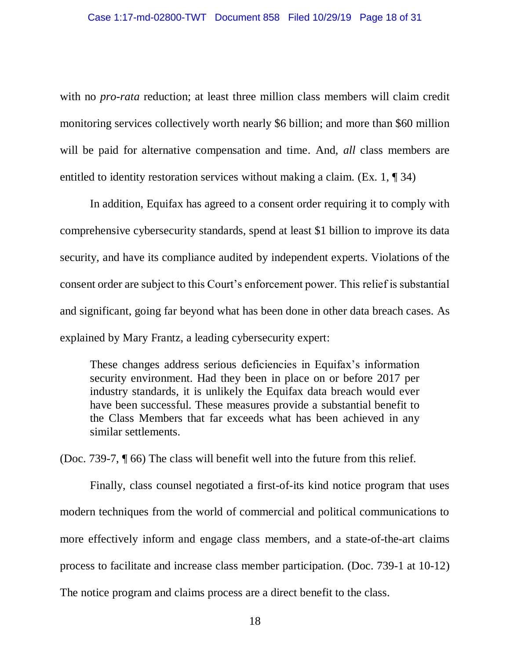with no *pro-rata* reduction; at least three million class members will claim credit monitoring services collectively worth nearly \$6 billion; and more than \$60 million will be paid for alternative compensation and time. And, *all* class members are entitled to identity restoration services without making a claim. (Ex. 1, ¶ 34)

In addition, Equifax has agreed to a consent order requiring it to comply with comprehensive cybersecurity standards, spend at least \$1 billion to improve its data security, and have its compliance audited by independent experts. Violations of the consent order are subject to this Court's enforcement power. This relief is substantial and significant, going far beyond what has been done in other data breach cases. As explained by Mary Frantz, a leading cybersecurity expert:

These changes address serious deficiencies in Equifax's information security environment. Had they been in place on or before 2017 per industry standards, it is unlikely the Equifax data breach would ever have been successful. These measures provide a substantial benefit to the Class Members that far exceeds what has been achieved in any similar settlements.

(Doc. 739-7, ¶ 66) The class will benefit well into the future from this relief.

Finally, class counsel negotiated a first-of-its kind notice program that uses modern techniques from the world of commercial and political communications to more effectively inform and engage class members, and a state-of-the-art claims process to facilitate and increase class member participation. (Doc. 739-1 at 10-12) The notice program and claims process are a direct benefit to the class.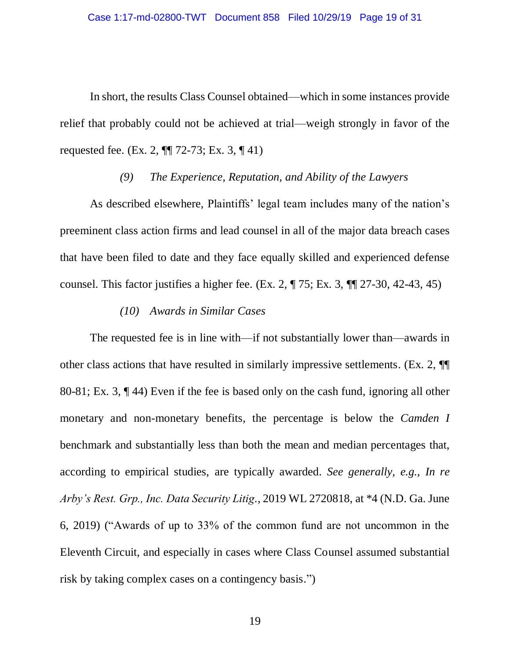In short, the results Class Counsel obtained—which in some instances provide relief that probably could not be achieved at trial—weigh strongly in favor of the requested fee. (Ex. 2, ¶¶ 72-73; Ex. 3, ¶ 41)

## *(9) The Experience, Reputation, and Ability of the Lawyers*

As described elsewhere, Plaintiffs' legal team includes many of the nation's preeminent class action firms and lead counsel in all of the major data breach cases that have been filed to date and they face equally skilled and experienced defense counsel. This factor justifies a higher fee. (Ex. 2,  $\P$  75; Ex. 3,  $\P$  $\P$  27-30, 42-43, 45)

# *(10) Awards in Similar Cases*

The requested fee is in line with—if not substantially lower than—awards in other class actions that have resulted in similarly impressive settlements. (Ex. 2, ¶¶ 80-81; Ex. 3, ¶ 44) Even if the fee is based only on the cash fund, ignoring all other monetary and non-monetary benefits, the percentage is below the *Camden I*  benchmark and substantially less than both the mean and median percentages that, according to empirical studies, are typically awarded. *See generally, e.g.*, *In re Arby's Rest. Grp., Inc. Data Security Litig.*, 2019 WL 2720818, at \*4 (N.D. Ga. June 6, 2019) ("Awards of up to 33% of the common fund are not uncommon in the Eleventh Circuit, and especially in cases where Class Counsel assumed substantial risk by taking complex cases on a contingency basis.")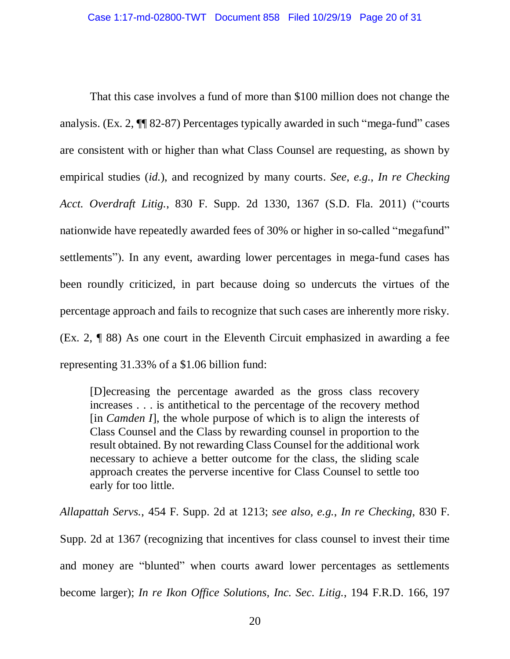That this case involves a fund of more than \$100 million does not change the analysis. (Ex. 2, ¶¶ 82-87) Percentages typically awarded in such "mega-fund" cases are consistent with or higher than what Class Counsel are requesting, as shown by empirical studies (*id.*), and recognized by many courts. *See, e.g.*, *In re Checking Acct. Overdraft Litig.*, 830 F. Supp. 2d 1330, 1367 (S.D. Fla. 2011) ("courts nationwide have repeatedly awarded fees of 30% or higher in so-called "megafund" settlements"). In any event, awarding lower percentages in mega-fund cases has been roundly criticized, in part because doing so undercuts the virtues of the percentage approach and fails to recognize that such cases are inherently more risky. (Ex. 2, ¶ 88) As one court in the Eleventh Circuit emphasized in awarding a fee representing 31.33% of a \$1.06 billion fund:

[D]ecreasing the percentage awarded as the gross class recovery increases . . . is antithetical to the percentage of the recovery method [in *Camden I*], the whole purpose of which is to align the interests of Class Counsel and the Class by rewarding counsel in proportion to the result obtained. By not rewarding Class Counsel for the additional work necessary to achieve a better outcome for the class, the sliding scale approach creates the perverse incentive for Class Counsel to settle too early for too little.

*Allapattah Servs.*, 454 F. Supp. 2d at 1213; *see also, e.g.*, *In re Checking*, 830 F. Supp. 2d at 1367 (recognizing that incentives for class counsel to invest their time and money are "blunted" when courts award lower percentages as settlements become larger); *In re Ikon Office Solutions, Inc. Sec. Litig.*, 194 F.R.D. 166, 197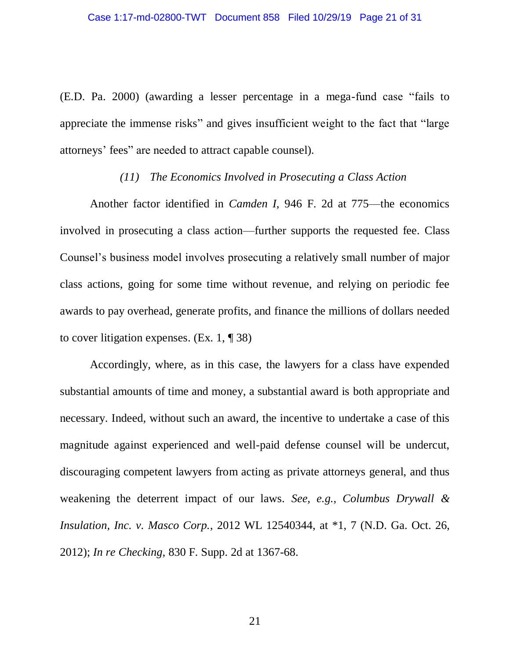(E.D. Pa. 2000) (awarding a lesser percentage in a mega-fund case "fails to appreciate the immense risks" and gives insufficient weight to the fact that "large attorneys' fees" are needed to attract capable counsel).

### *(11) The Economics Involved in Prosecuting a Class Action*

Another factor identified in *Camden I*, 946 F. 2d at 775—the economics involved in prosecuting a class action—further supports the requested fee. Class Counsel's business model involves prosecuting a relatively small number of major class actions, going for some time without revenue, and relying on periodic fee awards to pay overhead, generate profits, and finance the millions of dollars needed to cover litigation expenses. (Ex. 1, ¶ 38)

Accordingly, where, as in this case, the lawyers for a class have expended substantial amounts of time and money, a substantial award is both appropriate and necessary. Indeed, without such an award, the incentive to undertake a case of this magnitude against experienced and well-paid defense counsel will be undercut, discouraging competent lawyers from acting as private attorneys general, and thus weakening the deterrent impact of our laws. *See, e.g.*, *Columbus Drywall & Insulation, Inc. v. Masco Corp.*, 2012 WL 12540344, at \*1, 7 (N.D. Ga. Oct. 26, 2012); *In re Checking*, 830 F. Supp. 2d at 1367-68.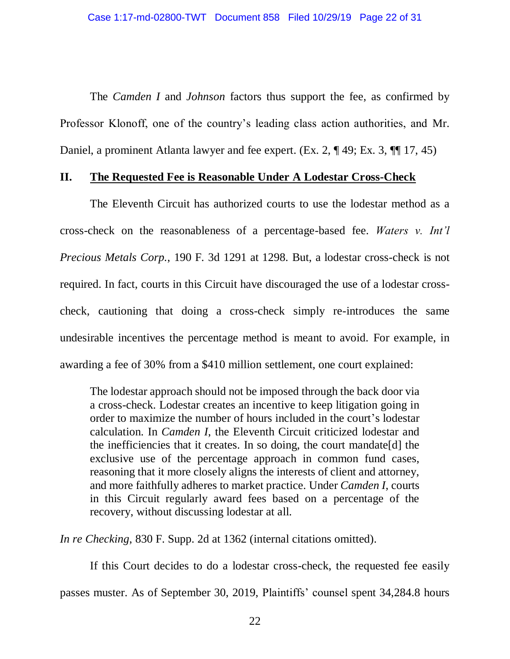The *Camden I* and *Johnson* factors thus support the fee, as confirmed by Professor Klonoff, one of the country's leading class action authorities, and Mr. Daniel, a prominent Atlanta lawyer and fee expert. (Ex. 2, ¶ 49; Ex. 3, ¶¶ 17, 45)

## **II. The Requested Fee is Reasonable Under A Lodestar Cross-Check**

The Eleventh Circuit has authorized courts to use the lodestar method as a cross-check on the reasonableness of a percentage-based fee. *Waters v. Int'l Precious Metals Corp.*, 190 F. 3d 1291 at 1298. But, a lodestar cross-check is not required. In fact, courts in this Circuit have discouraged the use of a lodestar crosscheck, cautioning that doing a cross-check simply re-introduces the same undesirable incentives the percentage method is meant to avoid. For example, in awarding a fee of 30% from a \$410 million settlement, one court explained:

The lodestar approach should not be imposed through the back door via a cross-check. Lodestar creates an incentive to keep litigation going in order to maximize the number of hours included in the court's lodestar calculation. In *Camden I*, the Eleventh Circuit criticized lodestar and the inefficiencies that it creates. In so doing, the court mandate[d] the exclusive use of the percentage approach in common fund cases, reasoning that it more closely aligns the interests of client and attorney, and more faithfully adheres to market practice. Under *Camden I*, courts in this Circuit regularly award fees based on a percentage of the recovery, without discussing lodestar at all.

*In re Checking*, 830 F. Supp. 2d at 1362 (internal citations omitted).

If this Court decides to do a lodestar cross-check, the requested fee easily passes muster. As of September 30, 2019, Plaintiffs' counsel spent 34,284.8 hours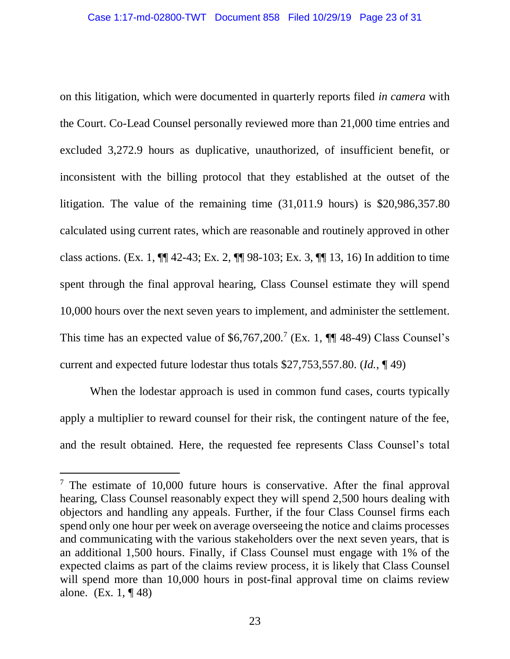on this litigation, which were documented in quarterly reports filed *in camera* with the Court. Co-Lead Counsel personally reviewed more than 21,000 time entries and excluded 3,272.9 hours as duplicative, unauthorized, of insufficient benefit, or inconsistent with the billing protocol that they established at the outset of the litigation. The value of the remaining time (31,011.9 hours) is \$20,986,357.80 calculated using current rates, which are reasonable and routinely approved in other class actions. (Ex. 1, ¶¶ 42-43; Ex. 2, ¶¶ 98-103; Ex. 3, ¶¶ 13, 16) In addition to time spent through the final approval hearing, Class Counsel estimate they will spend 10,000 hours over the next seven years to implement, and administer the settlement. This time has an expected value of  $$6,767,200$ .<sup>7</sup> (Ex. 1,  $\P$  48-49) Class Counsel's current and expected future lodestar thus totals \$27,753,557.80. (*Id.*, ¶ 49)

When the lodestar approach is used in common fund cases, courts typically apply a multiplier to reward counsel for their risk, the contingent nature of the fee, and the result obtained. Here, the requested fee represents Class Counsel's total

 $\overline{a}$ 

 $7$  The estimate of 10,000 future hours is conservative. After the final approval hearing, Class Counsel reasonably expect they will spend 2,500 hours dealing with objectors and handling any appeals. Further, if the four Class Counsel firms each spend only one hour per week on average overseeing the notice and claims processes and communicating with the various stakeholders over the next seven years, that is an additional 1,500 hours. Finally, if Class Counsel must engage with 1% of the expected claims as part of the claims review process, it is likely that Class Counsel will spend more than 10,000 hours in post-final approval time on claims review alone. (Ex. 1, ¶ 48)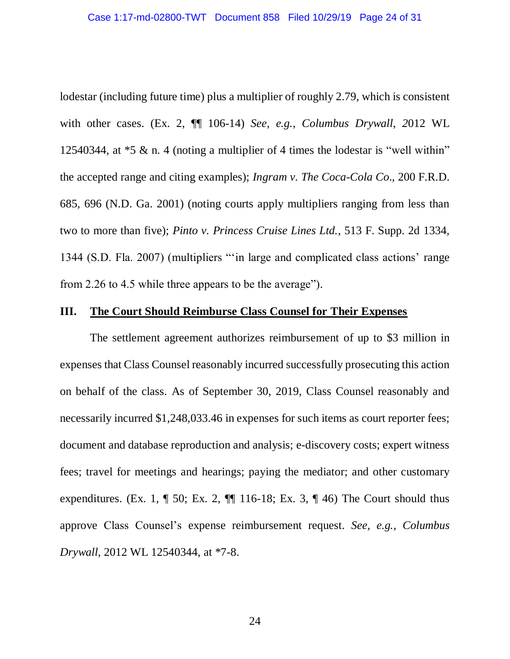lodestar (including future time) plus a multiplier of roughly 2.79, which is consistent with other cases. (Ex. 2, ¶¶ 106-14) *See, e.g., Columbus Drywall*, *2*012 WL 12540344, at \*5 & n. 4 (noting a multiplier of 4 times the lodestar is "well within" the accepted range and citing examples); *Ingram v. The Coca-Cola Co*., 200 F.R.D. 685, 696 (N.D. Ga. 2001) (noting courts apply multipliers ranging from less than two to more than five); *Pinto v. Princess Cruise Lines Ltd.*, 513 F. Supp. 2d 1334, 1344 (S.D. Fla. 2007) (multipliers "'in large and complicated class actions' range from 2.26 to 4.5 while three appears to be the average").

#### **III. The Court Should Reimburse Class Counsel for Their Expenses**

The settlement agreement authorizes reimbursement of up to \$3 million in expenses that Class Counsel reasonably incurred successfully prosecuting this action on behalf of the class. As of September 30, 2019, Class Counsel reasonably and necessarily incurred \$1,248,033.46 in expenses for such items as court reporter fees; document and database reproduction and analysis; e-discovery costs; expert witness fees; travel for meetings and hearings; paying the mediator; and other customary expenditures. (Ex. 1,  $\P$  50; Ex. 2,  $\P$  $\P$  116-18; Ex. 3,  $\P$  46) The Court should thus approve Class Counsel's expense reimbursement request. *See, e.g.*, *Columbus Drywall*, 2012 WL 12540344, at \*7-8.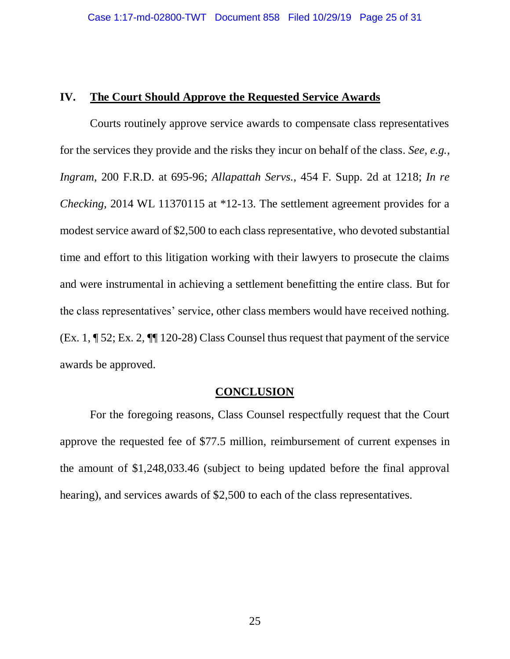### **IV. The Court Should Approve the Requested Service Awards**

Courts routinely approve service awards to compensate class representatives for the services they provide and the risks they incur on behalf of the class. *See, e.g.*, *Ingram*, 200 F.R.D. at 695-96; *Allapattah Servs.*, 454 F. Supp. 2d at 1218; *In re Checking*, 2014 WL 11370115 at \*12-13. The settlement agreement provides for a modest service award of \$2,500 to each class representative, who devoted substantial time and effort to this litigation working with their lawyers to prosecute the claims and were instrumental in achieving a settlement benefitting the entire class. But for the class representatives' service, other class members would have received nothing. (Ex. 1, ¶ 52; Ex. 2, ¶¶ 120-28) Class Counsel thus request that payment of the service awards be approved.

### **CONCLUSION**

For the foregoing reasons, Class Counsel respectfully request that the Court approve the requested fee of \$77.5 million, reimbursement of current expenses in the amount of \$1,248,033.46 (subject to being updated before the final approval hearing), and services awards of \$2,500 to each of the class representatives.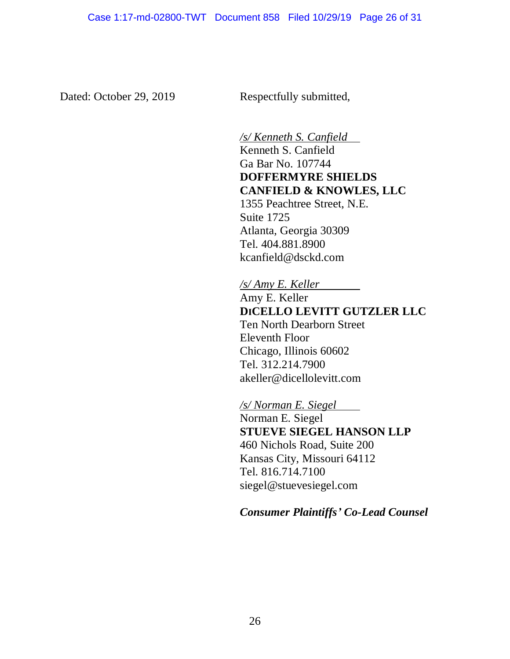Dated: October 29, 2019 Respectfully submitted,

*/s/ Kenneth S. Canfield* Kenneth S. Canfield Ga Bar No. 107744 **DOFFERMYRE SHIELDS CANFIELD & KNOWLES, LLC** 1355 Peachtree Street, N.E. Suite 1725 Atlanta, Georgia 30309 Tel. 404.881.8900 kcanfield@dsckd.com

*/s/ Amy E. Keller* Amy E. Keller **DICELLO LEVITT GUTZLER LLC** Ten North Dearborn Street Eleventh Floor Chicago, Illinois 60602 Tel. 312.214.7900 akeller@dicellolevitt.com

*/s/ Norman E. Siegel* Norman E. Siegel **STUEVE SIEGEL HANSON LLP** 460 Nichols Road, Suite 200 Kansas City, Missouri 64112 Tel. 816.714.7100 siegel@stuevesiegel.com

*Consumer Plaintiffs' Co-Lead Counsel*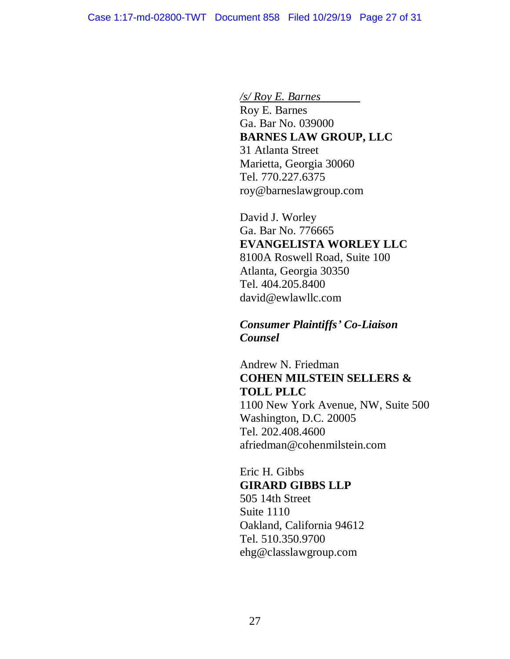*/s/ Roy E. Barnes* Roy E. Barnes Ga. Bar No. 039000 **BARNES LAW GROUP, LLC** 31 Atlanta Street Marietta, Georgia 30060 Tel. 770.227.6375 roy@barneslawgroup.com

David J. Worley Ga. Bar No. 776665 **EVANGELISTA WORLEY LLC** 8100A Roswell Road, Suite 100 Atlanta, Georgia 30350 Tel. 404.205.8400 david@ewlawllc.com

*Consumer Plaintiffs' Co-Liaison Counsel*

Andrew N. Friedman **COHEN MILSTEIN SELLERS & TOLL PLLC** 1100 New York Avenue, NW, Suite 500 Washington, D.C. 20005 Tel. 202.408.4600 afriedman@cohenmilstein.com

Eric H. Gibbs **GIRARD GIBBS LLP** 505 14th Street Suite 1110 Oakland, California 94612 Tel. 510.350.9700 ehg@classlawgroup.com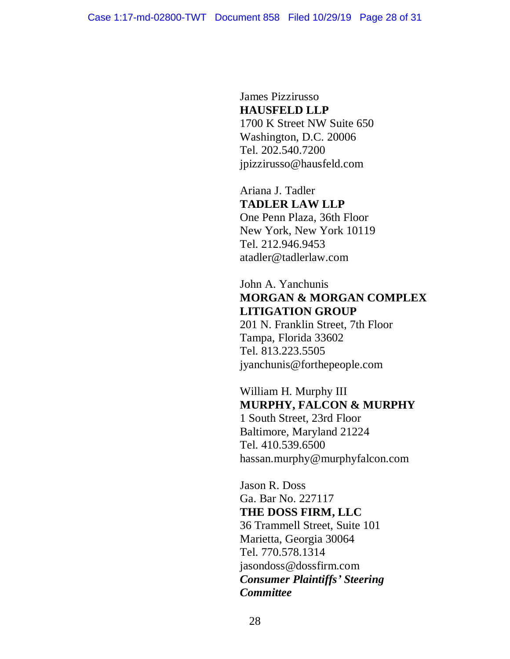James Pizzirusso **HAUSFELD LLP** 1700 K Street NW Suite 650 Washington, D.C. 20006 Tel. 202.540.7200 jpizzirusso@hausfeld.com

Ariana J. Tadler **TADLER LAW LLP**  One Penn Plaza, 36th Floor New York, New York 10119 Tel. 212.946.9453 atadler@tadlerlaw.com

John A. Yanchunis **MORGAN & MORGAN COMPLEX LITIGATION GROUP**

201 N. Franklin Street, 7th Floor Tampa, Florida 33602 Tel. 813.223.5505 jyanchunis@forthepeople.com

William H. Murphy III **MURPHY, FALCON & MURPHY** 1 South Street, 23rd Floor Baltimore, Maryland 21224 Tel. 410.539.6500 hassan.murphy@murphyfalcon.com

Jason R. Doss Ga. Bar No. 227117 **THE DOSS FIRM, LLC** 36 Trammell Street, Suite 101 Marietta, Georgia 30064 Tel. 770.578.1314 jasondoss@dossfirm.com *Consumer Plaintiffs' Steering Committee*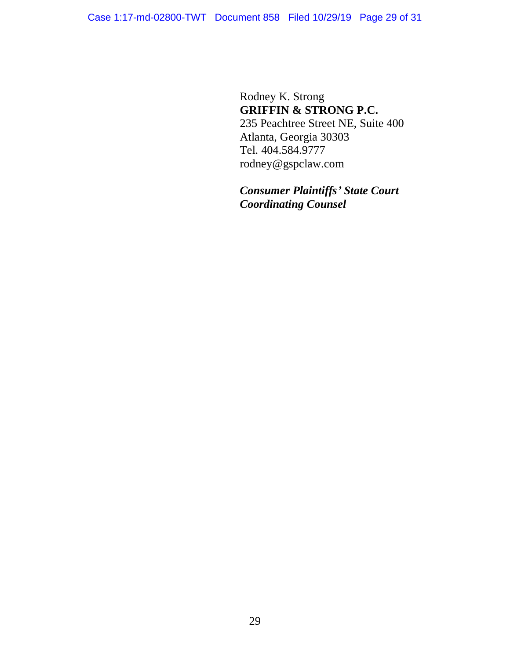Rodney K. Strong **GRIFFIN & STRONG P.C.** 235 Peachtree Street NE, Suite 400 Atlanta, Georgia 30303 Tel. 404.584.9777 rodney@gspclaw.com

*Consumer Plaintiffs' State Court Coordinating Counsel*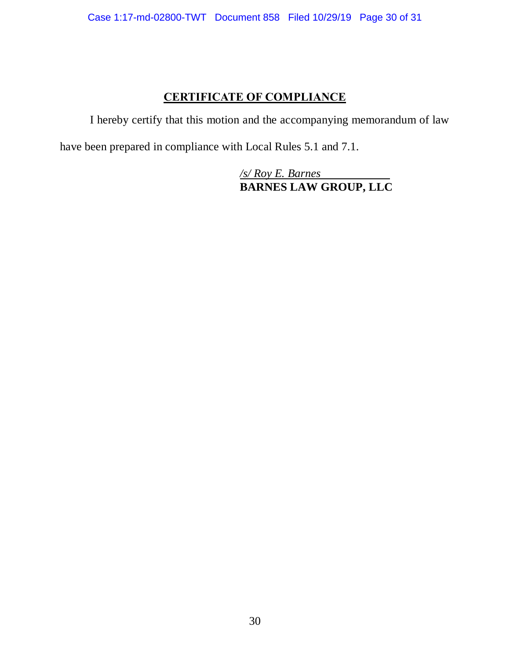# **CERTIFICATE OF COMPLIANCE**

I hereby certify that this motion and the accompanying memorandum of law

have been prepared in compliance with Local Rules 5.1 and 7.1.

*/s/ Roy E. Barnes*  **BARNES LAW GROUP, LLC**